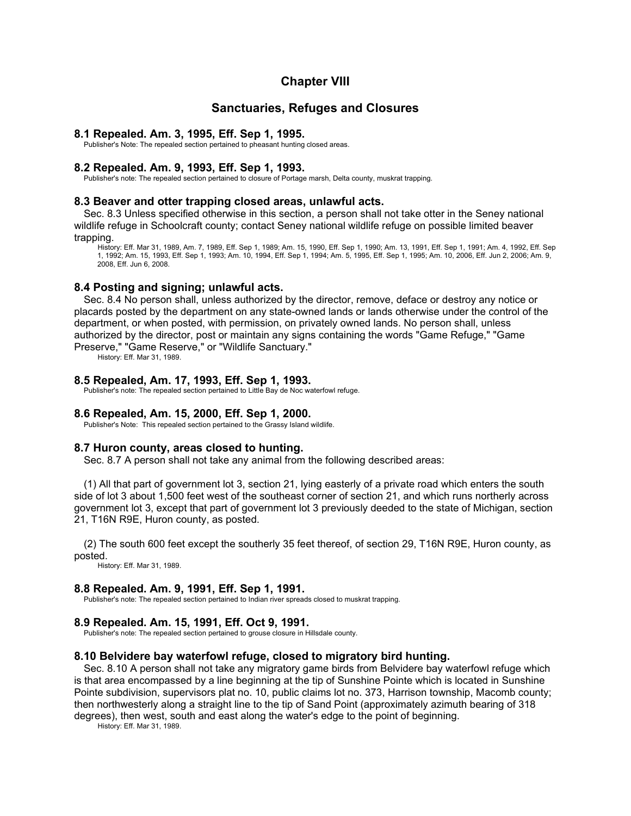# **Chapter VIII**

# **Sanctuaries, Refuges and Closures**

#### **8.1 Repealed. Am. 3, 1995, Eff. Sep 1, 1995.**

Publisher's Note: The repealed section pertained to pheasant hunting closed areas.

### **8.2 Repealed. Am. 9, 1993, Eff. Sep 1, 1993.**

Publisher's note: The repealed section pertained to closure of Portage marsh, Delta county, muskrat trapping.

#### **8.3 Beaver and otter trapping closed areas, unlawful acts.**

Sec. 8.3 Unless specified otherwise in this section, a person shall not take otter in the Seney national wildlife refuge in Schoolcraft county; contact Seney national wildlife refuge on possible limited beaver trapping.

History: Eff. Mar 31, 1989, Am. 7, 1989, Eff. Sep 1, 1989; Am. 15, 1990, Eff. Sep 1, 1990; Am. 13, 1991, Eff. Sep 1, 1991; Am. 4, 1992, Eff. Sep 1, 1992; Am. 15, 1993, Eff. Sep 1, 1993; Am. 10, 1994, Eff. Sep 1, 1994; Am. 5, 1995, Eff. Sep 1, 1995; Am. 10, 2006, Eff. Jun 2, 2006; Am. 9, 2008, Eff. Jun 6, 2008.

### **8.4 Posting and signing; unlawful acts.**

Sec. 8.4 No person shall, unless authorized by the director, remove, deface or destroy any notice or placards posted by the department on any state-owned lands or lands otherwise under the control of the department, or when posted, with permission, on privately owned lands. No person shall, unless authorized by the director, post or maintain any signs containing the words "Game Refuge," "Game

Preserve," "Game Reserve," or "Wildlife Sanctuary."

History: Eff. Mar 31, 1989.

# **8.5 Repealed, Am. 17, 1993, Eff. Sep 1, 1993.**

Publisher's note: The repealed section pertained to Little Bay de Noc waterfowl refuge.

## **8.6 Repealed, Am. 15, 2000, Eff. Sep 1, 2000.**

Publisher's Note: This repealed section pertained to the Grassy Island wildlife.

# **8.7 Huron county, areas closed to hunting.**

Sec. 8.7 A person shall not take any animal from the following described areas:

(1) All that part of government lot 3, section 21, lying easterly of a private road which enters the south side of lot 3 about 1,500 feet west of the southeast corner of section 21, and which runs northerly across government lot 3, except that part of government lot 3 previously deeded to the state of Michigan, section 21, T16N R9E, Huron county, as posted.

(2) The south 600 feet except the southerly 35 feet thereof, of section 29, T16N R9E, Huron county, as posted.

History: Eff. Mar 31, 1989.

# **8.8 Repealed. Am. 9, 1991, Eff. Sep 1, 1991.**

Publisher's note: The repealed section pertained to Indian river spreads closed to muskrat trapping.

### **8.9 Repealed. Am. 15, 1991, Eff. Oct 9, 1991.**

Publisher's note: The repealed section pertained to grouse closure in Hillsdale county.

#### **8.10 Belvidere bay waterfowl refuge, closed to migratory bird hunting.**

Sec. 8.10 A person shall not take any migratory game birds from Belvidere bay waterfowl refuge which is that area encompassed by a line beginning at the tip of Sunshine Pointe which is located in Sunshine Pointe subdivision, supervisors plat no. 10, public claims lot no. 373, Harrison township, Macomb county; then northwesterly along a straight line to the tip of Sand Point (approximately azimuth bearing of 318 degrees), then west, south and east along the water's edge to the point of beginning.

History: Eff. Mar 31, 1989.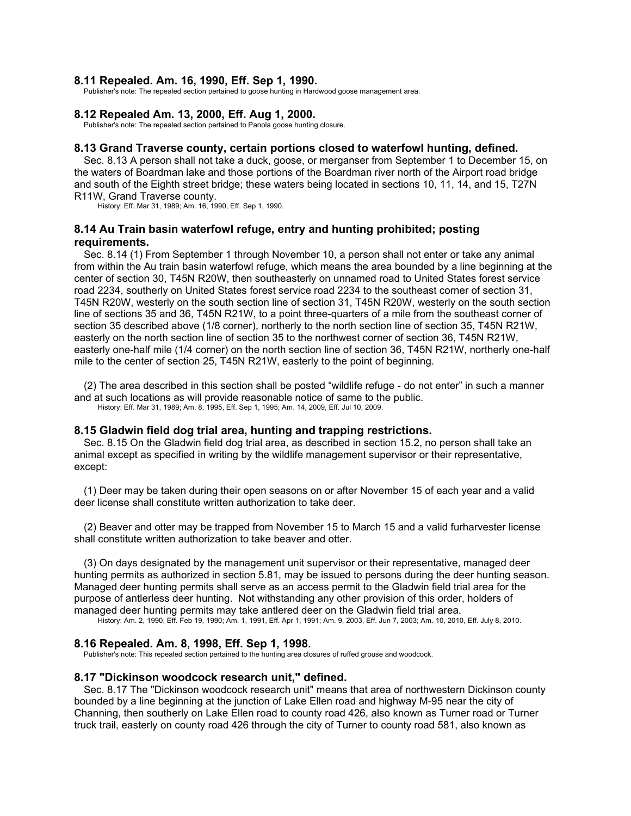### **8.11 Repealed. Am. 16, 1990, Eff. Sep 1, 1990.**

Publisher's note: The repealed section pertained to goose hunting in Hardwood goose management area.

#### **8.12 Repealed Am. 13, 2000, Eff. Aug 1, 2000.**

Publisher's note: The repealed section pertained to Panola goose hunting closure.

# **8.13 Grand Traverse county, certain portions closed to waterfowl hunting, defined.**

Sec. 8.13 A person shall not take a duck, goose, or merganser from September 1 to December 15, on the waters of Boardman lake and those portions of the Boardman river north of the Airport road bridge and south of the Eighth street bridge; these waters being located in sections 10, 11, 14, and 15, T27N R11W, Grand Traverse county.

History: Eff. Mar 31, 1989; Am. 16, 1990, Eff. Sep 1, 1990.

# **8.14 Au Train basin waterfowl refuge, entry and hunting prohibited; posting requirements.**

Sec. 8.14 (1) From September 1 through November 10, a person shall not enter or take any animal from within the Au train basin waterfowl refuge, which means the area bounded by a line beginning at the center of section 30, T45N R20W, then southeasterly on unnamed road to United States forest service road 2234, southerly on United States forest service road 2234 to the southeast corner of section 31, T45N R20W, westerly on the south section line of section 31, T45N R20W, westerly on the south section line of sections 35 and 36, T45N R21W, to a point three-quarters of a mile from the southeast corner of section 35 described above (1/8 corner), northerly to the north section line of section 35, T45N R21W, easterly on the north section line of section 35 to the northwest corner of section 36, T45N R21W, easterly one-half mile (1/4 corner) on the north section line of section 36, T45N R21W, northerly one-half mile to the center of section 25, T45N R21W, easterly to the point of beginning.

(2) The area described in this section shall be posted "wildlife refuge - do not enter" in such a manner and at such locations as will provide reasonable notice of same to the public. History: Eff. Mar 31, 1989; Am. 8, 1995, Eff. Sep 1, 1995; Am. 14, 2009, Eff. Jul 10, 2009.

#### **8.15 Gladwin field dog trial area, hunting and trapping restrictions.**

Sec. 8.15 On the Gladwin field dog trial area, as described in section 15.2, no person shall take an animal except as specified in writing by the wildlife management supervisor or their representative, except:

(1) Deer may be taken during their open seasons on or after November 15 of each year and a valid deer license shall constitute written authorization to take deer.

(2) Beaver and otter may be trapped from November 15 to March 15 and a valid furharvester license shall constitute written authorization to take beaver and otter.

(3) On days designated by the management unit supervisor or their representative, managed deer hunting permits as authorized in section 5.81, may be issued to persons during the deer hunting season. Managed deer hunting permits shall serve as an access permit to the Gladwin field trial area for the purpose of antlerless deer hunting. Not withstanding any other provision of this order, holders of managed deer hunting permits may take antlered deer on the Gladwin field trial area.<br>History: Am. 2, 1990, Eff. Feb 19, 1990; Am. 1, 1991, Eff. Apr 1, 1991; Am. 9, 2003, Eff. Jun 7, 2003; Am. 10, 2010, Eff. July 8, 2010.

### **8.16 Repealed. Am. 8, 1998, Eff. Sep 1, 1998.**

Publisher's note: This repealed section pertained to the hunting area closures of ruffed grouse and woodcock.

# **8.17 "Dickinson woodcock research unit," defined.**

Sec. 8.17 The "Dickinson woodcock research unit" means that area of northwestern Dickinson county bounded by a line beginning at the junction of Lake Ellen road and highway M-95 near the city of Channing, then southerly on Lake Ellen road to county road 426, also known as Turner road or Turner truck trail, easterly on county road 426 through the city of Turner to county road 581, also known as